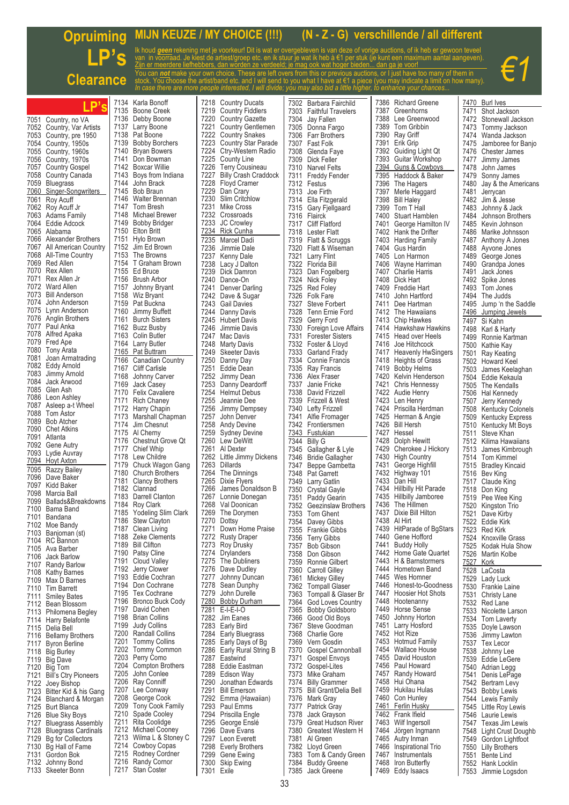## **Opruiming LP's Clearan MIJN KEUZE / MY CHOICE (!!!) (N - Z - G) verschillende / all different** Ik houd *geen* rekening met je voorkeur! Dit is wat er overgebleven is van deze of vorige auctions, of ik heb er gewoon teveel van in voorraad. Je kiest de artiest/groep etc. en ik stuur je wat ik heb à €1 per stuk (je kunt een maximum aantal aangeven). Zijn er meerdere liefhebbers, dan worden ze verdeeld; je mag ook wat hoger bieden... dan ga je voor! You can *not* make your own choice. These are left overs from this or previous auctions, or I just have too many of them in stock. Yo<del>u c</del>hoose the artist/band etc. and I will send to you what I have at €1 a piece (you may indicate a limit on how many). *In case there are more people interested, I will divide; you may also bid a little higher, to enhance your chances... €1* **LP's** 7134 Karla Bonoff 7135 Boone Creek 7136 Debby Boone 7137 Larry Boone 7138 Pat Boone 7139 Bobby Borchers 7140 Bryan Bowers 7141 Don Bowman 7142 Boxcar Willie 7143 Boys from Indiana 7144 John Brack 7145 Bob Braun 7146 Walter Brennan 7218 Country Ducats<br>7219 Country Fiddlers 7219 Country Fiddlers<br>7220 Country Gazette Country Gazette **7221 Country Gentlemen**<br>7222 Country Snakes 7222 Country Snakes<br>7223 Country Star Par 7223 Country Star Parade 7224 Ctry-Western Radio 7225 County Line<br>7226 Terry Cousin 7226 Terry Cousineau 7227 Billy Crash Craddock 7228 Floyd Cramer<br>7229 Dan Crarv 7229 Dan Crary<br>7230 Slim Critch 7302 Barbara Fairchild<br>7303 Faithful Travelers 7303 Faithful Travelers<br>7304 Jay Fallen Jay Fallen 7305 Donna Fargo<br>7306 Farr Brothers 7306 Farr Brothers<br>7307 Fast Folk 7307 Fast Folk 7308 Glenda Faye<br>7309 Dick Feller Dick Feller 7310 Narvel Felts<br>7311 Freddy Feng **Freddy Fender** 7312 Festus<br>7313 Joe Fin 7313 Joe Firth<br>7314 Flla Fitzg Ella Fitzgerald 7386 Richard Greene<br>7387 Greenhorns 7387 Greenhorns<br>7388 Lee Greenw 7388 Lee Greenwood<br>7389 Tom Gribbin 7389 Tom Gribbin<br>7390 Ray Griff 7390 Ray Griff<br>7391 Frik Grin 7391 Erik Grip 7392 Guiding Light Qt 7393 Guitar Workshop 7394 Guns & Cowboys<br>7395 Haddock & Baker 7395 Haddock & Baker<br>7396 The Hagers 7396 The Hagers 7397 Merle Haggard Rill Haley 7470 Burl Ives 7471 Shot Jackson 7472 Stonewall Jackson 7473 Tommy Jackson 7474 Wanda Jackson 7475 Jamboree for Banjo 7476 Chester James 7477 Jimmy James 7478 John James 7479 Sonny James 7481 Jerrycan

7051 Country, no VA<br>7052 Country, Var Ar 7052 Country, Var Artists<br>7053 Country, nre 1950 7053 Country, pre 1950 7054 Country, 1950s 7055 Country, 1960s 7056 Country, 1970s 7057 Country Gospel 7058 Country Canada 7059 Bluegrass 7060 Singer-Songwriters Roy Acuff 7062 Roy Acuff Jr 7063 Adams Family 7064 Eddie Adcock<br>7065 Alahama 7065 Alabama 7066 Alexander Brothers 7067 All American Country 7068 All-Time Country 7069 Red Allen<br>7070 Rex Allen 7070 Rex Allen Rex Allen Jr 7072 Ward Allen 7073 Bill Anderson 7074 John Anderson<br>7075 Lynn Anderson Lynn Anderson 7076 Anglin Brothers 7077 Paul Anka 7078 Alfred Apaka<br>7079 Fred Ape 7079 Fred Ape 7080 Tony Arata 7081 Joan Armatrading<br>7082 Eddy Arnold 7082 Eddy Arnold 7083 Jimmy Arnold 7084 Jack Arwood 7085 Glen Ash<br>7086 Leon Ash 7086 Leon Ashley<br>7087 Asleen a-t W 7087 Asleep a-t Wheel Tom Astor 7089 Bob Atcher<br>7090 Chet Atkins 7090 Chet Atkins<br>7091 Atlanta 7091 Atlanta 7092 Gene Autry 7093 Lydie Auvray 7094 Hoyt Axton<br>7095 Razzy Baile 7095 Razzy Bailey Dave Baker 7097 Kidd Baker Marcia Ball 7099 Ballads&Breakdowns 7100 Bama Band 7101 Bandana 7102 Moe Bandy 7103 Banjoman (st)<br>7104 RC Bannon RC Bannon 7105 Ava Barber 7106 Jack Barlow<br>7107 Randy Barlo Francy Barlow<br>7108 Kathy Barnes 7108 Kathy Barnes<br>7109 Max D Barnes 7109 Max D Barnes **Tim Barrett** 7111 Smiley Bates 7112 Bean Blossom 7113 Philomena Begley 7114 Harry Belafonte<br>7115 Delia Bell Delia Bell 7116 Bellamy Brothers Byron Berline 7118 Big Burley 7119 Big Dave 7120 Big Tom 7121 Bill's Ctry Pioneers<br>7122 Joev Bishop 7122 Joey Bishop Bitter Kid & his Gang 7124 Blanchard & Morgan 7125 Burt Blanca 7126 Blue Sky Boys<br>7127 Bluegrass Asse **Bluegrass Assembly** 7128 Bluegrass Cardinals<br>7129 Bq for Collectors 7129 Bg for Collectors<br>7130 Bg Hall of Fame Bg Hall of Fame 7131 Gordon Bok<br>7132 Johnny Bone 7132 Johnny Bond Skeeter Bonn

|              | <i>case</i><br>mere<br>are m                |
|--------------|---------------------------------------------|
| 7134         | Karla Bonoff                                |
| 7135         | Boone Creek                                 |
| 7136         | Debby Boone                                 |
| 7137         | Larry Boone                                 |
| 7138         | Pat Boone                                   |
| 7139         | Bobby Borchers                              |
| 7140         | Bryan Bowers                                |
| 7141         | Don Bowman                                  |
| 7142         | <b>Boxcar Willie</b>                        |
| 7143         | Boys from Indiana                           |
| 7144         | John Brack                                  |
| 7145         | Bob Braun                                   |
| 7146         | Walter Brennan                              |
| 7147         | Tom Bresh                                   |
| 7148         | Michael Brewer                              |
| 7149         | Bobby Bridger                               |
| 7150         | <b>Elton Britt</b>                          |
| 7151         | Hylo Brown                                  |
| 7152         | Jim Ed Brown                                |
| 7153         | The Browns                                  |
| 7154         | T Graham Brown                              |
| 7155         | Ed Bruce                                    |
| 7156         | Brush Arbor                                 |
| 7157         | Johnny Bryant                               |
| 7158         | Wiz Bryant                                  |
| 7159         | Pat Buckna                                  |
| 7160         | Jimmy Buffett                               |
| 7161         | <b>Burch Sisters</b>                        |
| 7162         | Buzz Busby                                  |
| 7163         | Colin Butler                                |
| 7164         | Larry Butler                                |
| 7165         | <u>Pat Buttram</u>                          |
| 7166         | Canadian Country                            |
| 7167         | Cliff Carlisle                              |
| 7168         | Johnny Carver                               |
| 7169         | Jack Casey                                  |
| 7170         | Felix Cavaliere                             |
| 7171         | Rich Chaney<br>Harry Chapin                 |
| 7172         |                                             |
| 7173         | Marshall Chapman                            |
| 7174         | Jim Chesnut                                 |
| 7175         | Al Cherny                                   |
| 7176<br>7177 | <b>Chestnut Grove Qt</b><br>Chief Whip      |
| 7178         | Lew Childre                                 |
|              |                                             |
| 7179<br>7180 | Chuck Wagon Gang<br>Church Brothers         |
| 7181         |                                             |
| 7182         | <b>Clancy Brothers</b><br>Clannad           |
| 7183         | Darrell Clanton                             |
| 7184         | Roy Clark                                   |
| 7185         | Yodeling Slim Clark                         |
| 7186         | Stew Clayton                                |
| 7187         | <b>Clean Living</b>                         |
| 7188         | Zeke Clements                               |
| 7189         | <b>Bill Clifton</b>                         |
| 7190         |                                             |
| 7191         |                                             |
| 7192         | Patsy Cline<br>Cloud Valley<br>Jerry Clower |
| 7193         | Eddie Cochran                               |
| 7194         | Don Cochrane                                |
| 7195         | Tex Cochrane                                |
| 7196         |                                             |
| 7197         | Bronco Buck Cody<br>David Cohen             |
| 7198         | <b>Brian Collins</b>                        |
| 7199         | Judy Collins                                |
| 7200         | Randall Collins                             |
| 7201         | Tommy Collins<br>Tommy Common               |
| 7202         |                                             |
| 7203         | Perry Ćomo                                  |
| 7204         | Compton Brothers                            |
| 7205         | John Conlee                                 |
| 7206         | Ray Conniff                                 |
| 7207         | Lee Conway                                  |
| 7208         | George Cook                                 |
| 7209         | Tony Cook Family                            |
| 7210         | Spade Cooley                                |
| 7211         | Rita Coolidge                               |
| 7212         | Michael Cooney                              |
| 7213         | Wilma L & Stoney C                          |
| 7214         | Cowboy Copas                                |
| 7215         | Rodney Cordner                              |
| 7216         |                                             |
| 7217         | Randy Cornor<br>Stan Coster                 |
|              |                                             |

7230 Slim Critchlow<br>7231 Mike Cross 7231 Mike Cross 7232 Crossroads<br>7233 JC Crowley JC Crowley 7234 Rick Cunha<br>7235 Marcel Dad Marcel Dadi 7236 Jimmie Dale 7237 Kenny Dale<br>7238 Lacy J Dalto 7238 Lacy J Dalton 7239 Dick Damron 7240 Dance-On<br>7241 Denver Da 7241 Denver Darling<br>7242 Dave & Sugar 7242 Dave & Sugar<br>7243 Gail Davies 7243 Gail Davies<br>7244 Danny Davi Danny Davis 7245 Hubert Davis<br>7246 Jimmie Davis 7246 Jimmie Davis 7247 Mac Davis 7248 Marty Davis 7249 Skeeter Davis<br>7250 Danny Dav 7250 Danny Day 7251 Eddie Dean 7252 Jimmy Dean<br>7253 Danny Deard 7253 Danny Deardorff<br>7254 Helmut Debus 7254 Helmut Debus<br>7255 Jeannie Dee 7255 Jeannie Dee 7256 Jimmy Dempsey 7257 John Denver 7258 Andy Devine<br>7259 Sydney Devi 7259 Sydney Devine Lew DeWitt 7261 Al Dexter 7262 Little Jimmy Dickens<br>7263 Dillards 7263 Dillards The Dinnings 7265 Dixie Flyers<br>7266 James Dona 7266 James Donaldson B<br>7267 Lonnie Donegan 7267 Lonnie Donegan<br>7268 Val Doonican 7268 Val Doonican<br>7269 The Dorymen 7269 The Dorymen<br>7270 Dottsv 7270 Dottsy<br>7271 Down 7271 Down Home Praise<br>7272 Rusty Draper 7272 Rusty Draper<br>7273 Roy Drusky 7273 Roy Drusky 7274 Drylanders<br>7275 The Dublin 7275 The Dubliners<br>7276 Dave Dudley 7276 Dave Dudley<br>7277 Johnny Dunc 7277 Johnny Duncan<br>7278 Sean Dunnhy 7278 Sean Dunphy<br>7279 John Durelle 7279 John Durelle<br>7280 Bobby Durha **Bobby Durham** 7281 E-I-E-I-O 7282 Jim Eanes 7283 Early Bird<br>7284 Early Blue Early Bluegrass 7285 Early Days of Bg 7286 Early Rural String B<br>7287 Eastwind 7287 Eastwind Eddie Eastman 7289 Edison Way<br>7290 Jonathan Fr 7290 Jonathan Edwards 7291 Bill Emerson<br>7292 Emma (Hawa 7292 Emma (Hawaiian) 7293 Paul Emms<br>7294 Priscilla End 7294 Priscilla Engle<br>7295 George Enslé 7295 George Enslé<br>7296 Dave Evans 7296 Dave Evans<br>7297 Leon Everett 7297 Leon Everett<br>7298 Everly Brothe Everly Brothers 7299 Gene Ewing 7300 Skip Ewing **Exile** 

7315 Gary Fjellgaard 7316 Flairck<br>7317 Cliff Fl 7317 Cliff Flatford<br>7318 Lester Flatt 7318 Lester Flatt<br>7319 Flatt & Scru Flatt & Scruggs 7320 Flatt & Wiseman<br>7321 Larry Flint 7321 Larry Flint Florida Bil 7323 Dan Fogelberg<br>7324 Nick Folev 7324 Nick Foley<br>7325 Red Foley 7325 Red Foley 7326 Folk Fare 7327 Steve Forbert<br>7328 Tenn Frnie Fo 7328 Tenn Ernie Ford 7329 Gerry Ford<br>7330 Foreign Lov 7330 Foreign Love Affairs **7331 Forester Sisters**<br>**7332 Foster & Hovd** 7332 Foster & Lloyd 7333 Garland Frady<br>7334 Connie Francis 7334 Connie Francis 7335 Ray Francis 7336 Alex Fraser 7337 Janie Fricke 7338 David Frizzell<br>7339 Frizzell & Wes Frizzell & West 7340 Lefty Frizzell 7341 Alfie Fromager 7342 Frontiersmen<br>7343 Fustukian Fustukian 7344 Billy G<br>7345 Gallant 7345 Gallagher & Lyle 7346 Bridie Gallagher<br>7347 Benne Gambetta 7347 Beppe Gambetta<br>7348 Pat Garrett Pat Garrett 7349 Larry Gatlin<br>7350 Crystal Gay 7350 Crystal Gayle<br>7351 Paddy Gearin 7351 Paddy Gearin<br>7352 Geezinslaw Br 7352 Geezinslaw Brothers<br>7353 Tom Ghent 7353 Tom Ghent 7354 Davey Gibbs<br>7355 Frankie Gibb 7355 Frankie Gibbs<br>7356 Terry Gibbs 7356 Terry Gibbs<br>7357 Rob Gibson 7357 Bob Gibson Don Gibson 7359 Ronnie Gilbert 7360 Carroll Gilley<br>7361 Mickey Gilley 7361 Mickey Gilley **Tompall Glaser** 7363 Tompall & Glaser Br 7364 God Loves Country 7365 Bobby Goldsboro<br>7366 Good Old Boys 7366 Good Old Boys<br>7367 Steve Goodmar 7367 Steve Goodman<br>7368 Charlie Gore Charlie Gore 7369 Vern Gosdin<br>7370 Gospel Canr 7370 Gospel Cannonball<br>7371 Gospel Envoys 7371 Gospel Envoys<br>7372 Gospel-Lites 7372 Gospel-Lites<br>7373 Mike Grahan 7373 Mike Graham 7374 Billy Grammer<br>7375 Bill Grant/Delia 7375 Bill Grant/Delia Bell 7376 Mark Gray 7377 Patrick Gray<br>7378 Jack Grayso 7378 Jack Grayson<br>7379 Great Hudson 7379 Great Hudson River<br>7380 Greatest Western H 7380 Greatest Western H 7381 Al Green 7382 Lloyd Green<br>7383 Tom & Cand 7383 Tom & Candy Green<br>7384 Buddy Greene 7384 Buddy Greene Jack Greene

7399 Tom T Hall<br>7400 Stuart Ham 7400 Stuart Hamblen<br>7401 George Hamilto 7401 George Hamilton IV<br>7402 Hank the Drifter 7402 Hank the Drifter<br>7403 Harding Family 7403 Harding Family<br>7404 Gus Hardin 7404 Gus Hardin<br>7405 Lon Harmor 7405 Lon Harmon<br>7406 Wayne Harri 7406 Wayne Harriman<br>7407 Charlie Harris 7407 Charlie Harris<br>7408 Dick Hart 7408 Dick Hart<br>7409 Freddie H 7409 Freddie Hart 7410 John Hartford<br>7411 Dee Hartman 7411 Dee Hartman<br>7412 The Hawaiian The Hawaiians 7413 Chip Hawkes<br>7414 Hawkshaw Ha **Hawkshaw Hawkins** 7415 Head over Heels<br>7416 Joe Hitchcock 7416 Joe Hitchcock<br>7417 Heavenly HwS 7417 Heavenly HwSingers<br>7418 Heights of Grass 7418 Heights of Grass<br>7419 Bobby Helms 7419 Bobby Helms 7420 Kelvin Henderson<br>7421 Chris Hennessy 7421 Chris Hennessy<br>7422 Audie Henry 7422 Audie Henry<br>7423 Len Henry 7423 Len Henry 7424 Priscilla Herdman 7425 Herman & Angie 7426 Bill Hersh<br>7427 Hessel 7427 Hessel<br>7428 Dolph H 7428 Dolph Hewitt<br>7429 Cherokee J H 7429 Cherokee J Hickory 7430 High Country 7431 George Highfill<br>7432 Highway 101 7432 Highway 101<br>7433 Dan Hill 7433 Dan Hill<br>7434 Hillbilly I 7434 Hillbilly Hit Parade 7435 Hillbilly Jamboree 7436 The Hillmen<br>7437 Dixie Bill Hilt 7437 Dixie Bill Hilton 7438 Al Hirt 7439 HitParade of BgStars<br>7440 Gene Hofford 7440 Gene Hofford<br>7441 Buddy Holly 7441 Buddy Holly<br>7442 Home Gate 7442 Home Gate Quartet<br>7443 H & Barnstormers 7443 H & Barnstormers<br>7444 Hometown Band 7444 Hometown Band<br>7445 Wes Homner 7445 Wes Homner<br>7446 Honest-to-Go 7446 Honest-to-Goodness<br>7447 Hoosier Hot Shots 7447 Hoosier Hot Shots<br>7448 Hootenanny 7448 Hootenanny<br>7449 Horse Sense 7449 Horse Sense<br>7450 Johnny Horto 7450 Johnny Horton<br>7451 Larry Hosford 7451 Larry Hosford<br>7452 Hot Rize 7452 Hot Rize<br>7453 Hotmud P 7453 Hotmud Family<br>7454 Wallace House 7454 Wallace House<br>7455 David Houston 7455 David Houston<br>7456 Paul Howard 7456 Paul Howard<br>7457 Randy Howar 7457 Randy Howard<br>7458 Hui Ohana 7458 Hui Ohana 7459 Hukilau Hulas 7460 Con Hunley<br>7461 Ferlin Husky 7461 Ferlin Husky<br>7462 Frank Ifield 7462 Frank Ifield<br>7463 Wilf Ingerso 7463 Wilf Ingersoll 7464 Jörgen Ingmann<br>7465 Autry Inman 7465 Autry Inman<br>7466 Inspirational 7466 Inspirational Trio 7467 Instrumentals<br>7468 Iron Butterfly 7468 Iron Butterfly<br>7469 Eddy Isaacs Eddy Isaacs

| <u>7470</u>  | <u>Burl Ives _</u>                         |
|--------------|--------------------------------------------|
| 7471         | Shot Jackson                               |
| 7472         | Stonewall Jackson                          |
| 7473         | Tommy Jackson                              |
| 7474         | Wanda Jackson                              |
| 7475         | Jamboree for Banjo<br><b>Chester James</b> |
| 7476<br>7477 | Jimmy James                                |
| 7478         | John James                                 |
| 7479         | Sonny James                                |
| 7480         | Jay & the Americans                        |
| 7481         | Jerrycan                                   |
| 7482         | Jim & Jesse                                |
| 7483         | Johnny & Jack                              |
| 7484         | Johnson Brothers                           |
| 7485<br>7486 | Kevin Johnson<br>Marike Johnsson           |
| 7487         | Anthony A Jones                            |
| 7488         | Ayvone Jones                               |
| 7489         | George Jones                               |
| 7490         | Grandpa Jones                              |
| 7491         | Jack Jones                                 |
| 7492         | Spike Jones                                |
| 7493<br>7494 | Tom Jones                                  |
| 7495         | The Judds<br>Jump 'n the Saddle            |
| <u>7496</u>  | Jumping Jewels                             |
| 7497         | Si Kahn                                    |
| 7498         | Karl & Harty                               |
| 7499         | Ronnie Kartman                             |
| 7500         | Kathie Kay                                 |
| 7501         | Ray Keating                                |
| 7502         | <b>Howard Keel</b>                         |
| 7503<br>7504 | James Keelaghan<br>Eddie Kekaula           |
| 7505         | The Kendalls                               |
| 7506         | Hal Kennedy                                |
| 7507         | Jerry Kennedy                              |
| 7508         | Kentucky Colonels<br>Kentucky Express      |
| 7509         |                                            |
| 7510         | Kentucky Mt Boys                           |
| 7511<br>7512 | Steve Khan<br>Kilima Hawaiians             |
| 7513         | James Kimbrough                            |
| 7514         | Tom Kimmel                                 |
| 7515         | <b>Bradley Kincaid</b>                     |
| 7516         | Bev King                                   |
| 7517         | Claude King                                |
| 7518         | Don King                                   |
| 7519<br>7520 | Pee Wee King<br>Kingston Trio              |
| 7521         | Dave Kirby                                 |
| 7522         | Eddie Kirk                                 |
| 7523         | Red Kirk                                   |
| 7524         | Knoxville Grass                            |
| 7525         | Kodak Hula Show                            |
| 7526         | Martin Kolbe                               |
| <u>7527</u>  | <u>Kork</u><br>LaCosta                     |
| 7528<br>7529 | Lady Luck                                  |
| 7530         | Frankie Laine                              |
| 7531         | Christy Lane                               |
| 7532         | Red Lane                                   |
| 7533         | Nicolette Larson                           |
| 7534         | Tom Laverty                                |
| 7535         | Doyle Lawson                               |
| 7536<br>7537 | Jimmy Lawton<br>Tex Lecor                  |
| 7538         | Johnny Lee                                 |
| 7539         | Eddie LeGere                               |
| 7540         | Adrian Legg                                |
| 7541         | Denis LePage                               |
| 7542         | Bertram Levy                               |
| 7543         | <b>Bobby Lewis</b>                         |
| 7544<br>7545 | Lewis Family                               |
| 7546         | Little Roy Lewis<br>Laurie Lewis           |
| 7547         | Texas Jim Lewis                            |
| 7548         | Light Crust Doughb                         |
| 7549         | Gordon Lightfoot                           |
| 7550         | Lilly Brothers                             |
| 7551         | Bente Lind                                 |
| 7552         | Hank Locklin                               |
| 7553         | Jimmie Logsdon                             |